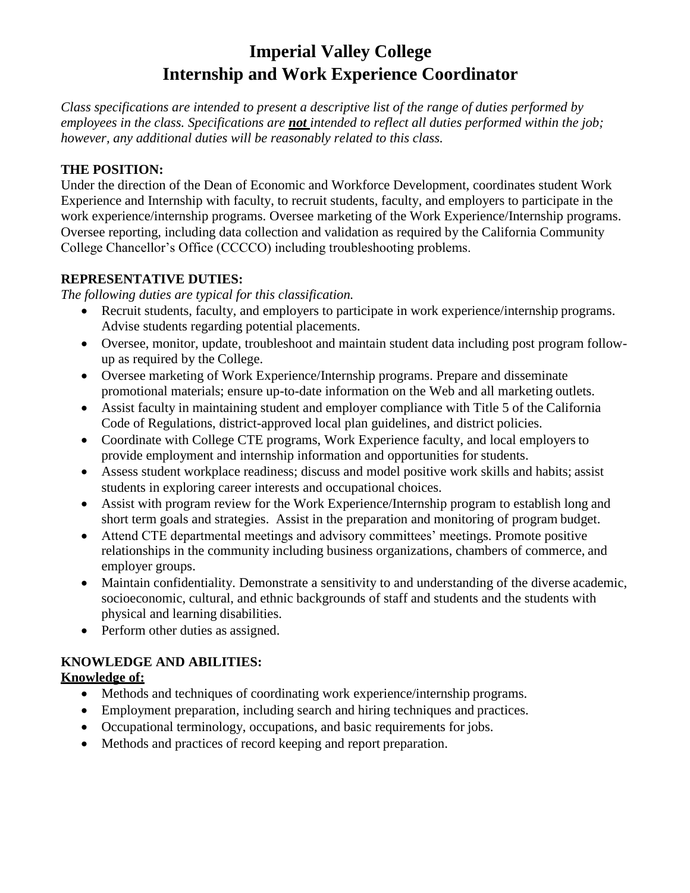# **Imperial Valley College Internship and Work Experience Coordinator**

*Class specifications are intended to present a descriptive list of the range of duties performed by employees in the class. Specifications are not intended to reflect all duties performed within the job; however, any additional duties will be reasonably related to this class.*

#### **THE POSITION:**

Under the direction of the Dean of Economic and Workforce Development, coordinates student Work Experience and Internship with faculty, to recruit students, faculty, and employers to participate in the work experience/internship programs. Oversee marketing of the Work Experience/Internship programs. Oversee reporting, including data collection and validation as required by the California Community College Chancellor's Office (CCCCO) including troubleshooting problems.

#### **REPRESENTATIVE DUTIES:**

*The following duties are typical for this classification.*

- Recruit students, faculty, and employers to participate in work experience/internship programs. Advise students regarding potential placements.
- Oversee, monitor, update, troubleshoot and maintain student data including post program followup as required by the College.
- Oversee marketing of Work Experience/Internship programs. Prepare and disseminate promotional materials; ensure up-to-date information on the Web and all marketing outlets.
- Assist faculty in maintaining student and employer compliance with Title 5 of the California Code of Regulations, district-approved local plan guidelines, and district policies.
- Coordinate with College CTE programs, Work Experience faculty, and local employers to provide employment and internship information and opportunities for students.
- Assess student workplace readiness; discuss and model positive work skills and habits; assist students in exploring career interests and occupational choices.
- Assist with program review for the Work Experience/Internship program to establish long and short term goals and strategies. Assist in the preparation and monitoring of program budget.
- Attend CTE departmental meetings and advisory committees' meetings. Promote positive relationships in the community including business organizations, chambers of commerce, and employer groups.
- Maintain confidentiality. Demonstrate a sensitivity to and understanding of the diverse academic, socioeconomic, cultural, and ethnic backgrounds of staff and students and the students with physical and learning disabilities.
- Perform other duties as assigned.

## **KNOWLEDGE AND ABILITIES:**

### **Knowledge of:**

- Methods and techniques of coordinating work experience/internship programs.
- Employment preparation, including search and hiring techniques and practices.
- Occupational terminology, occupations, and basic requirements for jobs.
- Methods and practices of record keeping and report preparation.